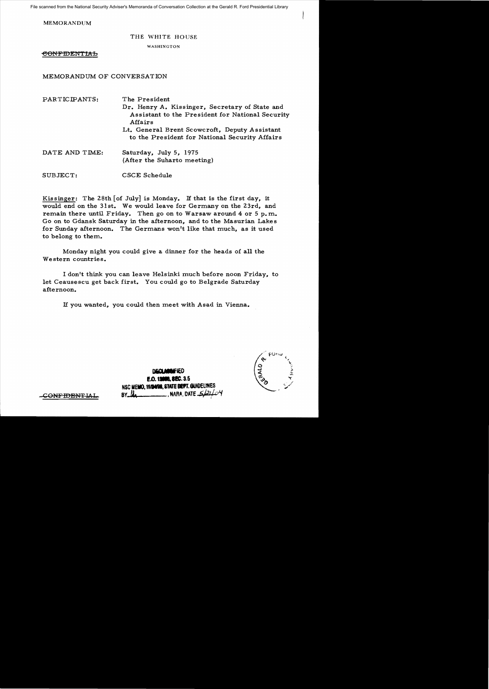File scanned from the National Security Adviser's Memoranda of Conversation Collection at the Gerald R. Ford Presidential Library

MEMORANDUM

## THE WHITE HOUSE

### WASHINGTON

<del>CONFIDENTIAL</del>

# MEMORANDUM OF CONVERSATION

PARTICIPANTS: The President Dr. Henry A. Kissinger, Secretary of State and Assistant to the President for National Security Affairs Lt. General Brent Scowcroft, Deputy Assistant to the President for National Security Affairs DATE AND TIME: Saturday, July 5, 1975 (After the Suharto meeting) SUBJECT: CSCE Schedule

Kissinger: The 28th [of July] is Monday. If that is the first day, it would end on the 31st. We would leave for Germany on the 23rd, and remain there until Friday. Then go on to Warsaw around  $4$  or  $5$  p.m. Go on to Gdansk Saturday in the afternoon, and to the Masurian Lakes for Sunday afternoon. The Germans won't like that much, as it used to belong to them.

Monday night you could give a dinner for the heads of a11 the Western countries.

I don't think you can leave Helsinki much before noon Friday, to let Ceausescu get back first. You could go to Belgrade Saturday afternoon.

If you wanted, you could then meet with Asad in Vienna.

**DIiCL.wIED E.O. 19986. 8EC. 3.5** NSC MEMO, 11/24/98, STATE BEFT. GUIDELINES **BY 14 \, NARA, DATE 4** 

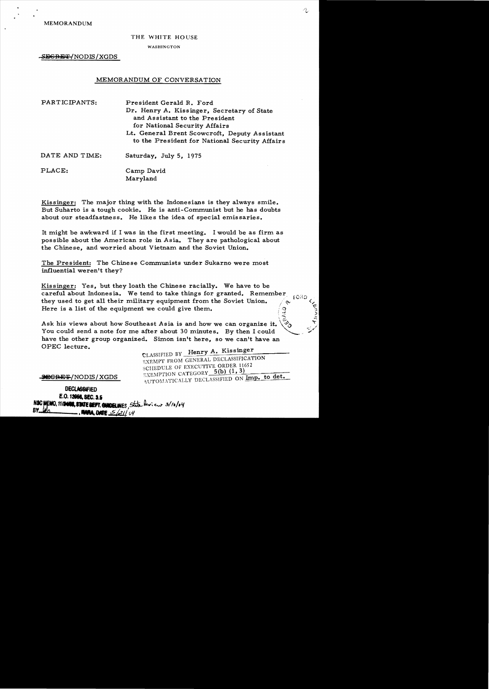# THE WHITE HOUSE

#### WASHINGTON

-SEGRET/NODIS/XGDS

## MEMORANDUM OF CONVERSATION

| PARTICIPANTS:  | President Gerald R. Ford<br>Dr. Henry A. Kissinger, Secretary of State<br>and Assistant to the President<br>for National Security Affairs<br>Lt. General Brent Scowcroft, Deputy Assistant<br>to the President for National Security Affairs |
|----------------|----------------------------------------------------------------------------------------------------------------------------------------------------------------------------------------------------------------------------------------------|
| DATE AND TIME: | Saturday, July 5, 1975                                                                                                                                                                                                                       |
| PLACE:         | Camp David<br>Maryland                                                                                                                                                                                                                       |

Kissinger: The major thing with the Indonesians is they always smile. But Suharto is a tough cookie. He is anti-Communist but he has doubts about our steadfastness. He likes the idea of special emissaries.

It might be awkward if I was in the first meeting. I would be as firm as possible about the American role in Asia. They are pathological about the Chinese, and worried about Vietnam and the Soviet Union.

The President: The Chinese Communists under Sukarno were most influential weren't they?

Kissinger: Yes, but they loath the Chinese racially. We have to be careful about Indonesia. We tend to take things for granted. Remember they used to get all their military equipment from the Soviet Union.  $\alpha$  for  $\alpha$ Here is a list of the equipment we could give them.

Ask his views about how Southeast Asia is and how we can organize it. You could send a note for me after about 30 minutes. By then I could have the other group organized. Simon isn't here, so we can't have an OPEC lecture.

CLASSIFIED BY Henry A. Kissinger EXEMPT FROM GENERAL DECLASSIFICATION SCHEDULE OF EXECUTIVE ORDER 11652  $_{\rm A\,I\,ITOM\,ATICALLY}$  declassified on CATEGORY  $5(b)$  (1,  $\frac{3)}{2}$   $\frac{1}{2}$   $\frac{1}{2}$   $\frac{1}{2}$ Imp. to det•

 $\clubsuit$ e $\textrm{GRF}$ /NODIS/XGDS

**DECLASSIFIED** E.O. 12058, SEC. 3.5 FMO, 11/2000, STATE DEFT. QUIDELINES, State Paricus 3/10/04 **. HANA, DATE** <u>5/21/</u>04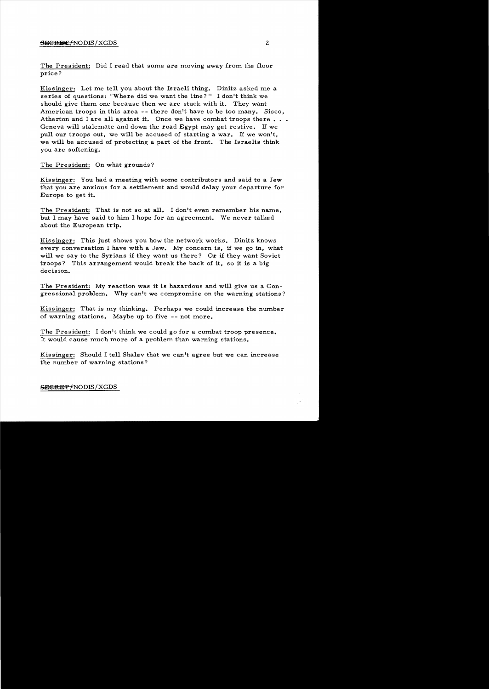## SECRET/NODIS/XGDS 2

The President: Did I read that some are moving away from the floor price?

Kis singer: Let me tell you about the Israeli thing. Dinitz asked me a series of questions: "Where did we want the line?" I don't think we should give them one because then we are stuck with it. They want American troops in this area -- there don't have to be too many. Sisco, Atherton and I are all against it. Once we have combat troops there  $\ldots$ . Geneva will stalemate and down the road Egypt may get restive. If we pull our troops out, we will be accused of starting a war. If we won't, we will be accused of protecting a part of the front. The Israelis think you are softening.

The President: On what grounds?

Kissinger: You had a meeting with some contributors and said to a Jew that you are anxious for a settlement and would delay your departure for Europe to get it.

The President: That is not so at all. I don't even remember his name, but I may have said to him I hope for an agreement. We never talked about the European trip.

Kissinger: This just shows you how the network works. Dinitz knows every conversation I have with a Jew. My concern is, if we go in, what will we say to the Syrians if they want us there? Or if they want Soviet troops? This arrangement would break the back of it, so it is a big decision.

The President: My reaction was it is hazardous and will give us a Congressional problem. Why can't we compromise on the warning stations?

Kissinger: That is my thinking. Perhaps we could increase the number of warning stations. Maybe up to five - - not more.

The President: I don't think we could go for a combat troop presence. It would cause much more of a problem than warning stations.

Kis singer: Should I tell Shalev that we can't agree but we can increase the number of warning stations?

 $S$ EGRET/NODIS/XGDS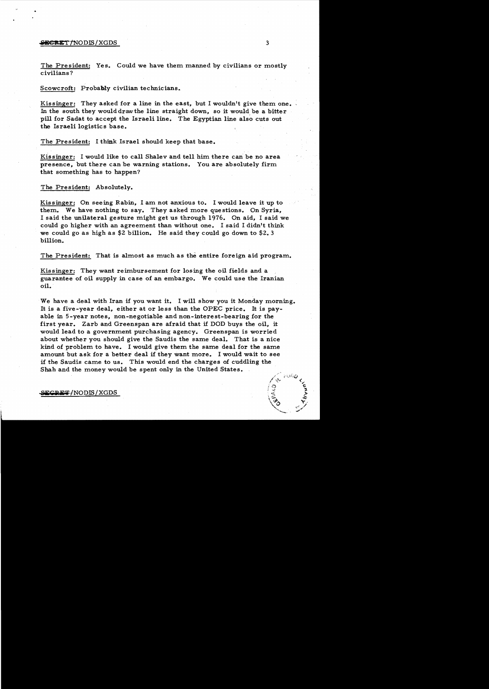#### **iiiE€RET/NODIS/XGDS** 3

The President: Yes. Could we have them manned by civilians or mostly civilians?

Scowcroft: Probably civilian technicians.

Kissinger: They asked for a line in the east, but I wouldn't give them one. In the south they would draw the line straight down, so it would be a bitter pill for Sadat to accept the Israeli line. The Egyptian line also cuts out the Israeli logistics base.

The President: I think Israel should keep that base.

Kissinger: I would like to call Shalev and tell him there can be no area presence, but there can be warning stations. You are absolutely firm that something has to happen?

The President: Absolutely.

Kissinger: On seeing Rabin, I am not anxious to. I would leave it up to them. We have nothing to say. They asked more questions. On Syria, I said the unilateral gesture might get us through 1976. On aid, I said we could go higher with an agreement than without one. I said I didn't think we could go as high as \$2 billion. He said they could go down to \$2.3 billion.

The President: That is almost as much as the entire foreign aid program.

Kissinger: They want reimbursement for losing the oil fields and a guarantee of oil supply in case of an embargo. We could use the Iranian oil.

We have a deal with Iran if you want it. I will show you it Monday morning. It is a five-year deal, either at or less than the OPEC price. It is payable in 5-year notes, non-negotiable and non-interest-bearing for the first year. Zarb and Greenspan are afraid that if DOD buys the oil, it would lead to a government purchasing agency. Greenspan is worried about whether you should give the Saudis the same deal. That is a nice kind of problem to have. I would give them the same deal for the same amount but ask for a better deal if they want more. I would wait to see if the Saudis came to us. This would end the charges of cuddling the Shah and the money would be spent only in the United States.

**s.E.F**/NODIS/XGDS

 $/$ . $\circ$ 

 $\frac{1}{2}$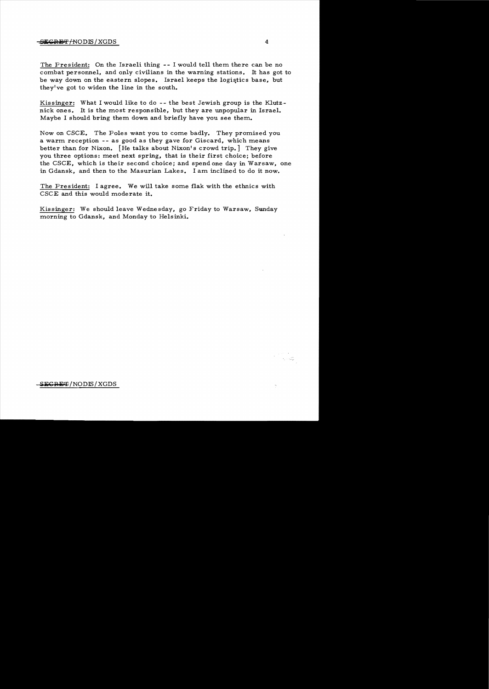## $-\frac{1}{2}$ Eiser $\frac{1}{2}$  / XGDS 4

The President: On the Israeli thing -- I would tell them there can be no combat personnel, and only civilians in the warning stations. It has got to be way down on the eastern slopes. Israel keeps the logistics base, but they've got to widen the line in the south.

Kissinger: What I would like to do -- the best Jewish group is the Klutznick ones. It is the most responsible, but they are unpopular in Israel. Maybe I should bring them down and briefly have you see them.

Now on CSCE. The Poles want you to come badly. They promised you a warm reception -- as good as they gave for Giscard, which means better than for Nixon. [He talks about Nixon's crowd trip.] They give you three options: meet next spring, that is their first choice; before the CSCE, which is their second choice; and spend one day in Warsaw, one in Gdansk, and then to the Masurian Lakes. I am inclined to do it now.

The President: I agree. We will take some flak with the ethnics with CSCE and this would moderate it.

Kissinger: We should leave Wednesday, go Friday to Warsaw, Sunday morning to Gdansk, and Monday to Helsinki.

 $\beta_1+\beta_{\rm opt}^{\rm SM}$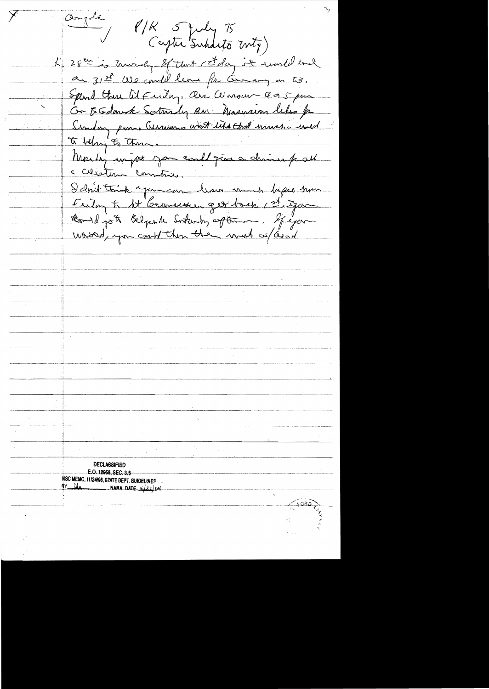dongoka  $P/K$  5 July 75 Captu Subdito Mtz) L' 28<sup>Et is</sup> trunchy of that ct day it would end a 31st We could leave for Genery on 23. Spend there at Funday, are consumed as 5 pm Or E Gdorak Sortrady RN: Masnum letes fr Similar prom. Germanns wort like that much wild Monthly unight you could give a chines part c cubetura comunico. I don't trick you can have much before him Feeten to At Germansur get back, 1st gar Could got Belgende Situation often figure worsterd, you could then they must us as a **DECLASSIFIED** E.O. 12958, SEG. 3.5 NSC MEMO, 11/24/98, STATE DEPT. GUIDELINES  $BY$   $\mu$ NARA DATE 5/21/04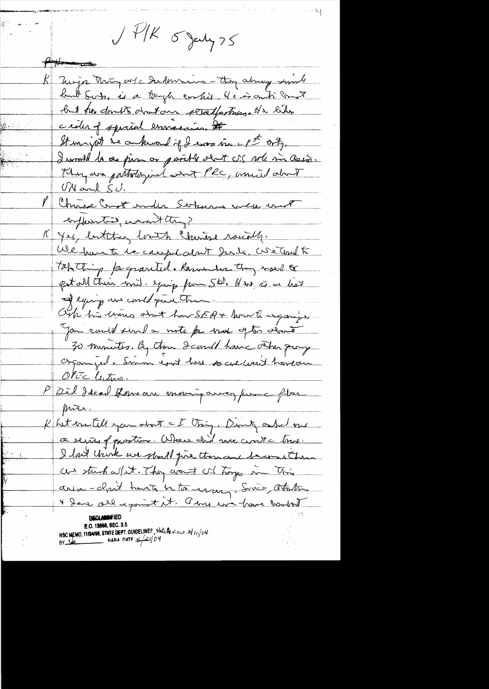$\sqrt{11}k$   $5$  Jeely 75 Hitten when K Moja Mon ork Sudencion - they always surely but Sup, is a tough contril. He is onti cont but has dont about our peradportance at & like criter of sparal evenecañon # Stimingth he ankeround of I was in cpt only. I would be as pin or portle olat US whe mi asso. They are partoturginal are PRC, assist about <u>VNard SJ.</u> Me Chance Constander Serburne will unt enfluentie, weighting? (Yes, butthey loath Chinese raially. We have to be caught about Junda, We Territ to Totaling for granted. Remember than would pet all their ind. spring from St. Here is a hat of equipmental que Tra  $\label{eq:1} \text{where the degree approximation of the first step, and the first step, the probability of the first step.}$ Oik his thous about how SEA + how to expansion Jan could sind a note for most often alone 30 minutes. By them I cand have other promp Organized. Somm isot hur socialisent hardon OPEC lution P Dèil fécal forman moing airez pour flas prics. K hit eventill you about a I thing, Don't asked me ce recites of quartier. Where did nec conta true. I had check we should pre thousand become them and stuck w/ it. They want with trages in This arror - clair hants to the way, Sopes attaches 4 dans all exait it. Peru un have hautat NSC MEMO, 11/24/98, STATE DEPT. GUIDELINES, State Person 3/10/04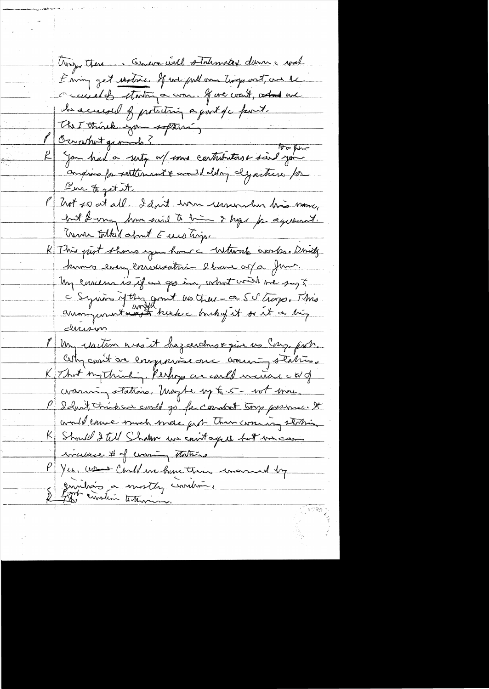troyer there... Cencer will statemated damn a wal È mon get rastric. If we pull am troge out, and the ceuseles starting a com. If we want, what we he accused of protecting a good of c famil. The Think you softwain 1970 pm comprise for settlement & commit deling dynature for Enr to get it. Part so at all. I don't wan ununder his money hat de man home said to him I hope pas agenerat. K This put shows you houre without cross. Drink humos even conversation elvers afa Juns. In curieur is if an go in, what will we say to C Syrian of this grant us they - a SS trage. This avangementaire trente charles et de it a très <u>ducision</u> PM, reaction anout hazandrove que us cars prob. Oth carit are enoppositions are around stations K That ing thinking, Perhops are carled incitiate a of craming stations. May be up to 5 - not more. P I dust trink an could go for countril trong pressure. It would enve much mere put then woung station R Should I tell Shaken we contaged but me can incluse # of evaning thating Yes, was Condena hune than incomed by envilrais à essorter construir.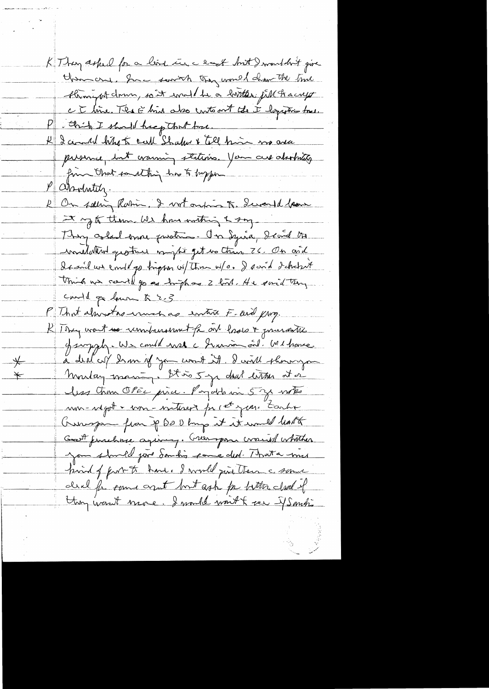K They asked for a line in a last but I wouldn't give them and. Inc sorrich they would draw the time throught down, sont would be a lorter fill hacry CE line. The E him also contoont the I logistic free. this I should help that toxe. K I could when shaker & till him me are pussive, but craining stations. You are absolutely fin that to althing has to buy for P assolutely. 1 On solling Ramin. I wit outros to. Swamped laws It up to them we have writing & say They asked more pusting. On Syria, I cand the indulation quantues mystiget we thin 26. On and It and we empt go tright w/ Three w/o. I sand detected This we could go as high as 2 hours He said try could go low & 2.3 Mit almostas und as entire F-and prog. R They want use understand the one hado & presente et surply. We could not a human oil. Mi home à deut cuy dem if you wont it. I will show you Montag maring. It is 5 yr deal litter at or less tron OPEC price. Payable in 5 g with mos-régat + com-nitures pr cet just tante Gunspa from p Do U bring it it would halt Goot functure agiving. Greenpon crowned whather you should jure Sandis came ded. That a mis print of furt to have I would just them a some deal for some and but ask for better closed of Han want nave. I mall won't feel J Sombi.

 $\frac{}{\rightarrow}$ 

 $\bigstar$